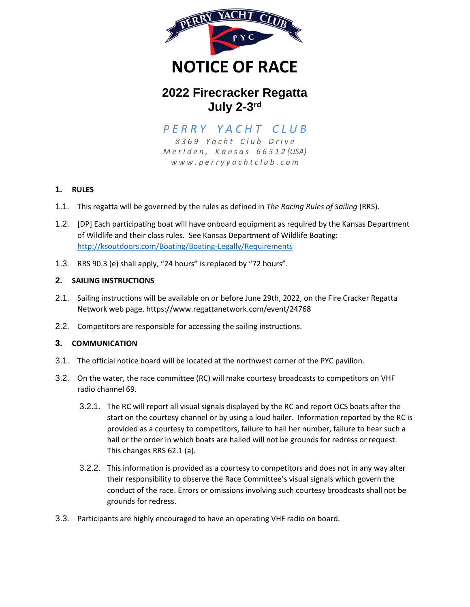

# **2022 Firecracker Regatta July 2-3 rd**

# *P E R R Y Y A C H T C L U B*

*8 3 6 9 Y a c h t C l u b D r I v e M e r I d e n , K a n s a s 6 6 5 1 2 (USA) w w w . p e r r y y a c h t c l u b . c o m*

# **1. RULES**

- 1.1. This regatta will be governed by the rules as defined in *The Racing Rules of Sailing* (RRS).
- 1.2. [DP] Each participating boat will have onboard equipment as required by the Kansas Department of Wildlife and their class rules. See Kansas Department of Wildlife Boating: <http://ksoutdoors.com/Boating/Boating-Legally/Requirements>
- 1.3. RRS 90.3 (e) shall apply, "24 hours" is replaced by "72 hours".

## **2. SAILING INSTRUCTIONS**

- 2.1. Sailing instructions will be available on or before June 29th, 2022, on the Fire Cracker Regatta Network web page. https://www.regattanetwork.com/event/24768
- 2.2. Competitors are responsible for accessing the sailing instructions.

#### **3. COMMUNICATION**

- 3.1. The official notice board will be located at the northwest corner of the PYC pavilion.
- 3.2. On the water, the race committee (RC) will make courtesy broadcasts to competitors on VHF radio channel 69.
	- 3.2.1. The RC will report all visual signals displayed by the RC and report OCS boats after the start on the courtesy channel or by using a loud hailer. Information reported by the RC is provided as a courtesy to competitors, failure to hail her number, failure to hear such a hail or the order in which boats are hailed will not be grounds for redress or request. This changes RRS 62.1 (a).
	- 3.2.2. This information is provided as a courtesy to competitors and does not in any way alter their responsibility to observe the Race Committee's visual signals which govern the conduct of the race. Errors or omissions involving such courtesy broadcasts shall not be grounds for redress.
- 3.3. Participants are highly encouraged to have an operating VHF radio on board.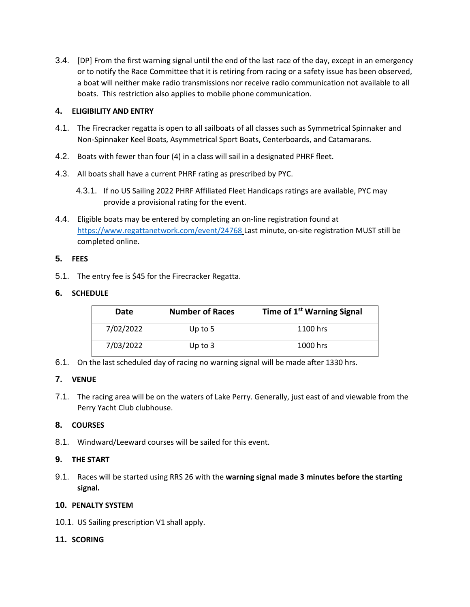3.4. [DP] From the first warning signal until the end of the last race of the day, except in an emergency or to notify the Race Committee that it is retiring from racing or a safety issue has been observed, a boat will neither make radio transmissions nor receive radio communication not available to all boats. This restriction also applies to mobile phone communication.

## **4. ELIGIBILITY AND ENTRY**

- 4.1. The Firecracker regatta is open to all sailboats of all classes such as Symmetrical Spinnaker and Non-Spinnaker Keel Boats, Asymmetrical Sport Boats, Centerboards, and Catamarans.
- 4.2. Boats with fewer than four (4) in a class will sail in a designated PHRF fleet.
- 4.3. All boats shall have a current PHRF rating as prescribed by PYC.
	- 4.3.1. If no US Sailing 2022 PHRF Affiliated Fleet Handicaps ratings are available, PYC may provide a provisional rating for the event.
- 4.4. Eligible boats may be entered by completing an on-line registration found at <https://www.regattanetwork.com/event/24768> Last minute, on-site registration MUST still be completed online.

# **5. FEES**

5.1. The entry fee is \$45 for the Firecracker Regatta.

## **6. SCHEDULE**

| Date      | <b>Number of Races</b> | Time of 1 <sup>st</sup> Warning Signal |
|-----------|------------------------|----------------------------------------|
| 7/02/2022 | Up to $5$              | 1100 hrs                               |
| 7/03/2022 | Up to $3$              | 1000 hrs                               |

6.1. On the last scheduled day of racing no warning signal will be made after 1330 hrs.

#### **7. VENUE**

7.1. The racing area will be on the waters of Lake Perry. Generally, just east of and viewable from the Perry Yacht Club clubhouse.

# **8. COURSES**

8.1. Windward/Leeward courses will be sailed for this event.

# **9. THE START**

9.1. Races will be started using RRS 26 with the **warning signal made 3 minutes before the starting signal.**

# **10. PENALTY SYSTEM**

10.1. US Sailing prescription V1 shall apply.

# **11. SCORING**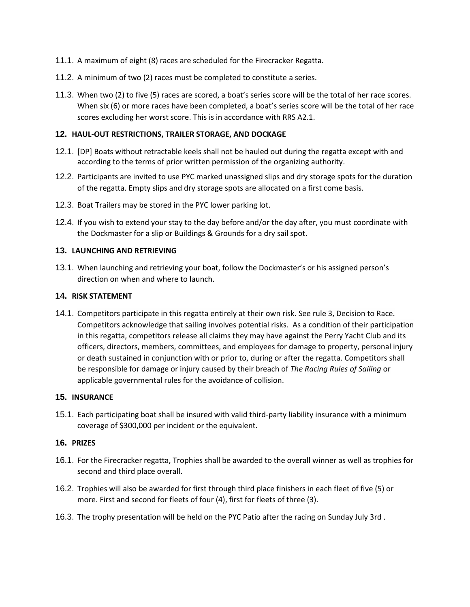- 11.1. A maximum of eight (8) races are scheduled for the Firecracker Regatta.
- 11.2. A minimum of two (2) races must be completed to constitute a series.
- 11.3. When two (2) to five (5) races are scored, a boat's series score will be the total of her race scores. When six (6) or more races have been completed, a boat's series score will be the total of her race scores excluding her worst score. This is in accordance with RRS A2.1.

## **12. HAUL-OUT RESTRICTIONS, TRAILER STORAGE, AND DOCKAGE**

- 12.1. [DP] Boats without retractable keels shall not be hauled out during the regatta except with and according to the terms of prior written permission of the organizing authority.
- 12.2. Participants are invited to use PYC marked unassigned slips and dry storage spots for the duration of the regatta. Empty slips and dry storage spots are allocated on a first come basis.
- 12.3. Boat Trailers may be stored in the PYC lower parking lot.
- 12.4. If you wish to extend your stay to the day before and/or the day after, you must coordinate with the Dockmaster for a slip or Buildings & Grounds for a dry sail spot.

#### **13. LAUNCHING AND RETRIEVING**

13.1. When launching and retrieving your boat, follow the Dockmaster's or his assigned person's direction on when and where to launch.

#### **14. RISK STATEMENT**

14.1. Competitors participate in this regatta entirely at their own risk. See rule 3, Decision to Race. Competitors acknowledge that sailing involves potential risks. As a condition of their participation in this regatta, competitors release all claims they may have against the Perry Yacht Club and its officers, directors, members, committees, and employees for damage to property, personal injury or death sustained in conjunction with or prior to, during or after the regatta. Competitors shall be responsible for damage or injury caused by their breach of *The Racing Rules of Sailing* or applicable governmental rules for the avoidance of collision.

#### **15. INSURANCE**

15.1. Each participating boat shall be insured with valid third-party liability insurance with a minimum coverage of \$300,000 per incident or the equivalent.

# **16. PRIZES**

- 16.1. For the Firecracker regatta, Trophies shall be awarded to the overall winner as well as trophies for second and third place overall.
- 16.2. Trophies will also be awarded for first through third place finishers in each fleet of five (5) or more. First and second for fleets of four (4), first for fleets of three (3).
- 16.3. The trophy presentation will be held on the PYC Patio after the racing on Sunday July 3rd .